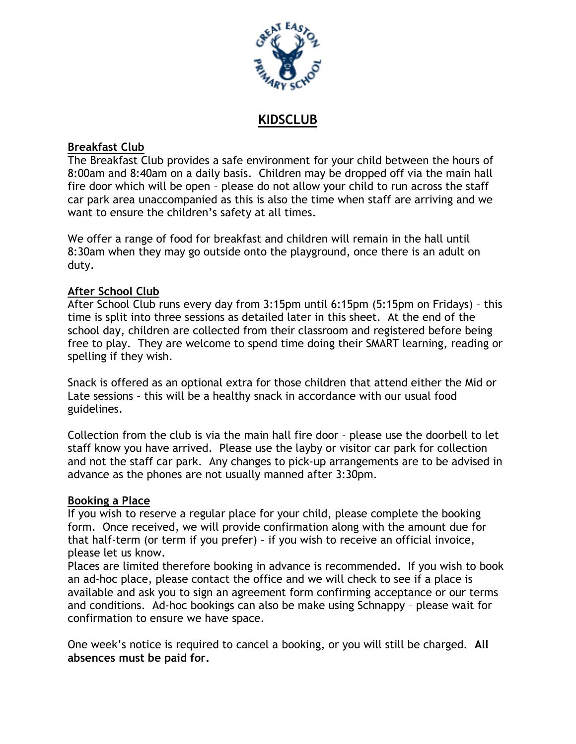

# **KIDSCLUB**

# **Breakfast Club**

The Breakfast Club provides a safe environment for your child between the hours of 8:00am and 8:40am on a daily basis. Children may be dropped off via the main hall fire door which will be open – please do not allow your child to run across the staff car park area unaccompanied as this is also the time when staff are arriving and we want to ensure the children's safety at all times.

We offer a range of food for breakfast and children will remain in the hall until 8:30am when they may go outside onto the playground, once there is an adult on duty.

## **After School Club**

After School Club runs every day from 3:15pm until 6:15pm (5:15pm on Fridays) – this time is split into three sessions as detailed later in this sheet. At the end of the school day, children are collected from their classroom and registered before being free to play. They are welcome to spend time doing their SMART learning, reading or spelling if they wish.

Snack is offered as an optional extra for those children that attend either the Mid or Late sessions – this will be a healthy snack in accordance with our usual food guidelines.

Collection from the club is via the main hall fire door – please use the doorbell to let staff know you have arrived. Please use the layby or visitor car park for collection and not the staff car park. Any changes to pick-up arrangements are to be advised in advance as the phones are not usually manned after 3:30pm.

## **Booking a Place**

If you wish to reserve a regular place for your child, please complete the booking form. Once received, we will provide confirmation along with the amount due for that half-term (or term if you prefer) – if you wish to receive an official invoice, please let us know.

Places are limited therefore booking in advance is recommended. If you wish to book an ad-hoc place, please contact the office and we will check to see if a place is available and ask you to sign an agreement form confirming acceptance or our terms and conditions. Ad-hoc bookings can also be make using Schnappy – please wait for confirmation to ensure we have space.

One week's notice is required to cancel a booking, or you will still be charged. **All absences must be paid for.**